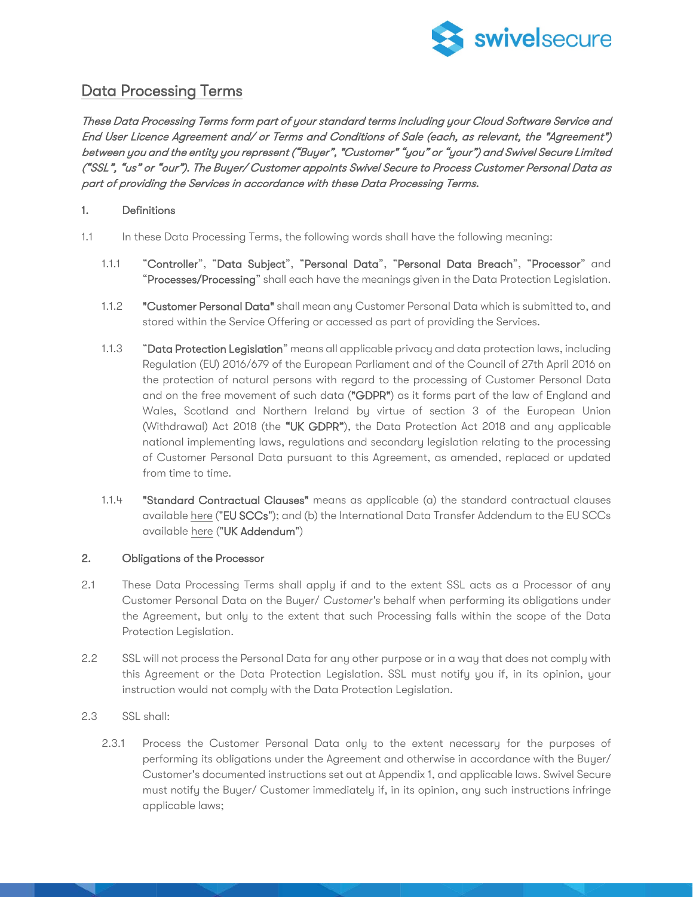

# Data Processing Terms

These Data Processing Terms form part of your standard terms including your Cloud Software Service and End User Licence Agreement and/ or Terms and Conditions of Sale (each, as relevant, the "Agreement") between you and the entity you represent ("Buyer", "Customer" "you" or "your") and Swivel Secure Limited ("SSL", "us" or "our"). The Buyer/ Customer appoints Swivel Secure to Process Customer Personal Data as part of providing the Services in accordance with these Data Processing Terms.

## 1. Definitions

- 1.1 In these Data Processing Terms, the following words shall have the following meaning:
	- 1.1.1 "Controller", "Data Subject", "Personal Data", "Personal Data Breach", "Processor" and "Processes/Processing" shall each have the meanings given in the Data Protection Legislation.
	- 1.1.2 "Customer Personal Data" shall mean any Customer Personal Data which is submitted to, and stored within the Service Offering or accessed as part of providing the Services.
	- 1.1.3 "Data Protection Legislation" means all applicable privacy and data protection laws, including Regulation (EU) 2016/679 of the European Parliament and of the Council of 27th April 2016 on the protection of natural persons with regard to the processing of Customer Personal Data and on the free movement of such data ("GDPR") as it forms part of the law of England and Wales, Scotland and Northern Ireland by virtue of section 3 of the European Union (Withdrawal) Act 2018 (the "UK GDPR"), the Data Protection Act 2018 and any applicable national implementing laws, regulations and secondary legislation relating to the processing of Customer Personal Data pursuant to this Agreement, as amended, replaced or updated from time to time.
	- 1.1.4 "Standard Contractual Clauses" means as applicable (a) the standard contractual clauses availabl[e here](https://eurlex.europa.eu/legalcontent/EN/TXT/HTML/?uri=CELEX:32021D0914&from=EN) ("EU SCCs"); and (b) the International Data Transfer Addendum to the EU SCCs available [here](https://ico.org.uk/media/for-organisations/documents/4019539/international-data-transfer-addendum.pdf) ("UK Addendum")

#### 2. Obligations of the Processor

- 2.1 These Data Processing Terms shall apply if and to the extent SSL acts as a Processor of any Customer Personal Data on the Buyer/ *Customer's* behalf when performing its obligations under the Agreement, but only to the extent that such Processing falls within the scope of the Data Protection Legislation.
- 2.2 SSL will not process the Personal Data for any other purpose or in a way that does not comply with this Agreement or the Data Protection Legislation. SSL must notify you if, in its opinion, your instruction would not comply with the Data Protection Legislation.
- 2.3 SSL shall:
	- 2.3.1 Process the Customer Personal Data only to the extent necessary for the purposes of performing its obligations under the Agreement and otherwise in accordance with the Buyer/ Customer's documented instructions set out at Appendix 1, and applicable laws. Swivel Secure must notify the Buyer/ Customer immediately if, in its opinion, any such instructions infringe applicable laws;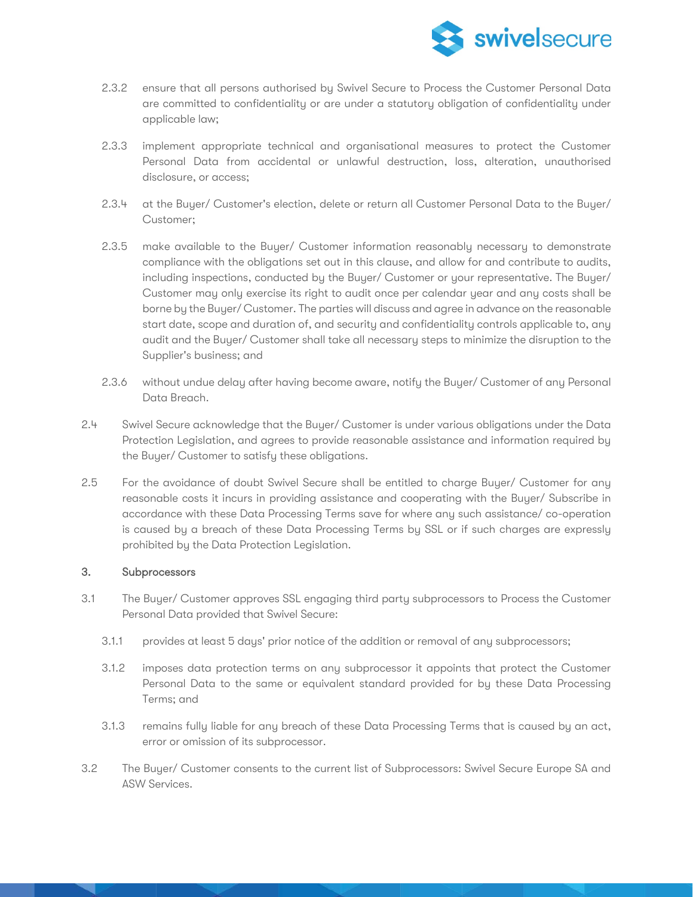

- 2.3.2 ensure that all persons authorised by Swivel Secure to Process the Customer Personal Data are committed to confidentiality or are under a statutory obligation of confidentiality under applicable law;
- 2.3.3 implement appropriate technical and organisational measures to protect the Customer Personal Data from accidental or unlawful destruction, loss, alteration, unauthorised disclosure, or access;
- 2.3.4 at the Buyer/ Customer's election, delete or return all Customer Personal Data to the Buyer/ Customer;
- 2.3.5 make available to the Buyer/ Customer information reasonably necessary to demonstrate compliance with the obligations set out in this clause, and allow for and contribute to audits, including inspections, conducted by the Buyer/ Customer or your representative. The Buyer/ Customer may only exercise its right to audit once per calendar year and any costs shall be borne by the Buyer/ Customer. The parties will discuss and agree in advance on the reasonable start date, scope and duration of, and security and confidentiality controls applicable to, any audit and the Buyer/ Customer shall take all necessary steps to minimize the disruption to the Supplier's business; and
- 2.3.6 without undue delay after having become aware, notify the Buyer/ Customer of any Personal Data Breach.
- 2.4 Swivel Secure acknowledge that the Buyer/ Customer is under various obligations under the Data Protection Legislation, and agrees to provide reasonable assistance and information required by the Buyer/ Customer to satisfy these obligations.
- 2.5 For the avoidance of doubt Swivel Secure shall be entitled to charge Buyer/ Customer for any reasonable costs it incurs in providing assistance and cooperating with the Buyer/ Subscribe in accordance with these Data Processing Terms save for where any such assistance/ co-operation is caused by a breach of these Data Processing Terms by SSL or if such charges are expressly prohibited by the Data Protection Legislation.

# 3. Subprocessors

- 3.1 The Buyer/ Customer approves SSL engaging third party subprocessors to Process the Customer Personal Data provided that Swivel Secure:
	- 3.1.1 provides at least 5 days' prior notice of the addition or removal of any subprocessors;
	- 3.1.2 imposes data protection terms on any subprocessor it appoints that protect the Customer Personal Data to the same or equivalent standard provided for by these Data Processing Terms; and
	- 3.1.3 remains fully liable for any breach of these Data Processing Terms that is caused by an act, error or omission of its subprocessor.
- 3.2 The Buyer/ Customer consents to the current list of Subprocessors: Swivel Secure Europe SA and ASW Services.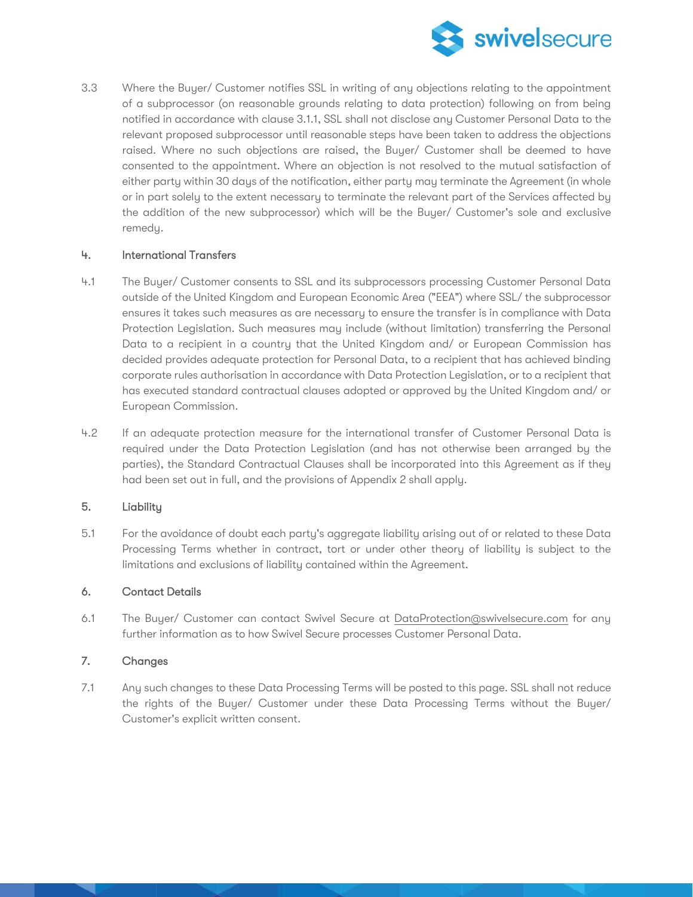

3.3 Where the Buyer/ Customer notifies SSL in writing of any objections relating to the appointment of a subprocessor (on reasonable grounds relating to data protection) following on from being notified in accordance with clause 3.1.1, SSL shall not disclose any Customer Personal Data to the relevant proposed subprocessor until reasonable steps have been taken to address the objections raised. Where no such objections are raised, the Buyer/ Customer shall be deemed to have consented to the appointment. Where an objection is not resolved to the mutual satisfaction of either party within 30 days of the notification, either party may terminate the Agreement (in whole or in part solely to the extent necessary to terminate the relevant part of the Services affected by the addition of the new subprocessor) which will be the Buyer/ Customer's sole and exclusive remedy.

# 4. International Transfers

- 4.1 The Buyer/ Customer consents to SSL and its subprocessors processing Customer Personal Data outside of the United Kingdom and European Economic Area ("EEA") where SSL/ the subprocessor ensures it takes such measures as are necessary to ensure the transfer is in compliance with Data Protection Legislation. Such measures may include (without limitation) transferring the Personal Data to a recipient in a country that the United Kingdom and/ or European Commission has decided provides adequate protection for Personal Data, to a recipient that has achieved binding corporate rules authorisation in accordance with Data Protection Legislation, or to a recipient that has executed standard contractual clauses adopted or approved by the United Kingdom and/ or European Commission.
- 4.2 If an adequate protection measure for the international transfer of Customer Personal Data is required under the Data Protection Legislation (and has not otherwise been arranged by the parties), the Standard Contractual Clauses shall be incorporated into this Agreement as if they had been set out in full, and the provisions of Appendix 2 shall apply.

#### 5. Liability

5.1 For the avoidance of doubt each party's aggregate liability arising out of or related to these Data Processing Terms whether in contract, tort or under other theory of liability is subject to the limitations and exclusions of liability contained within the Agreement.

# 6. Contact Details

6.1 The Buyer/ Customer can contact Swivel Secure at [DataProtection@swivelsecure.co](mailto:DataProtection@swivelsecure.c)m for any further information as to how Swivel Secure processes Customer Personal Data.

#### 7. Changes

7.1 Any such changes to these Data Processing Terms will be posted to this page. SSL shall not reduce the rights of the Buyer/ Customer under these Data Processing Terms without the Buyer/ Customer's explicit written consent.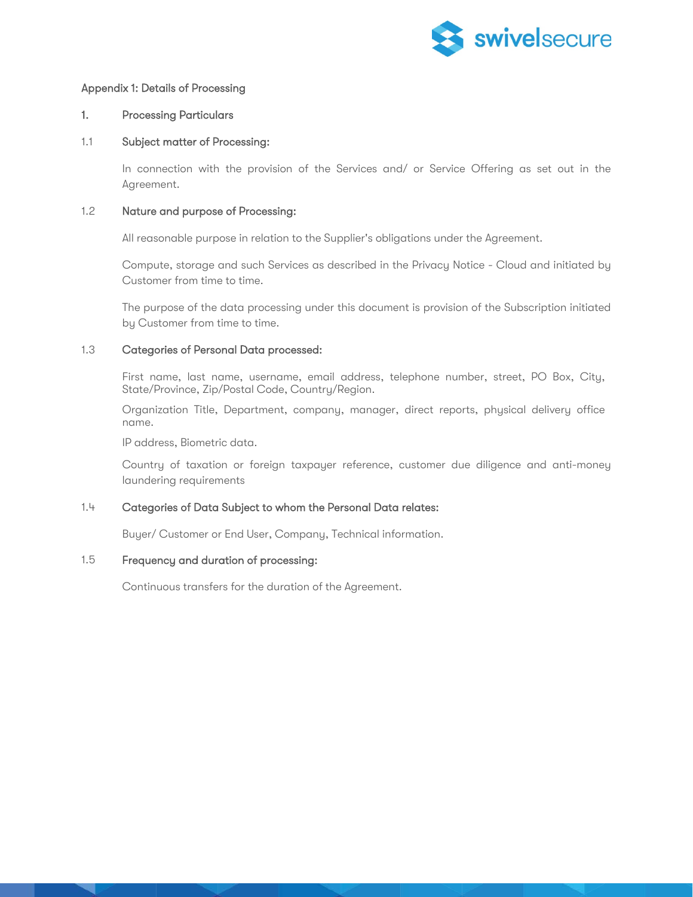

## Appendix 1: Details of Processing

#### 1. Processing Particulars

#### 1.1 Subject matter of Processing:

In connection with the provision of the Services and/ or Service Offering as set out in the Agreement.

#### 1.2 Nature and purpose of Processing:

All reasonable purpose in relation to the Supplier's obligations under the Agreement.

Compute, storage and such Services as described in the Privacy Notice - Cloud and initiated by Customer from time to time.

The purpose of the data processing under this document is provision of the Subscription initiated by Customer from time to time.

#### 1.3 Categories of Personal Data processed:

First name, last name, username, email address, telephone number, street, PO Box, City, State/Province, Zip/Postal Code, Country/Region.

Organization Title, Department, company, manager, direct reports, physical delivery office name.

IP address, Biometric data.

Country of taxation or foreign taxpayer reference, customer due diligence and anti-money laundering requirements

#### 1.4 Categories of Data Subject to whom the Personal Data relates:

Buyer/ Customer or End User, Company, Technical information.

## 1.5 Frequency and duration of processing:

Continuous transfers for the duration of the Agreement.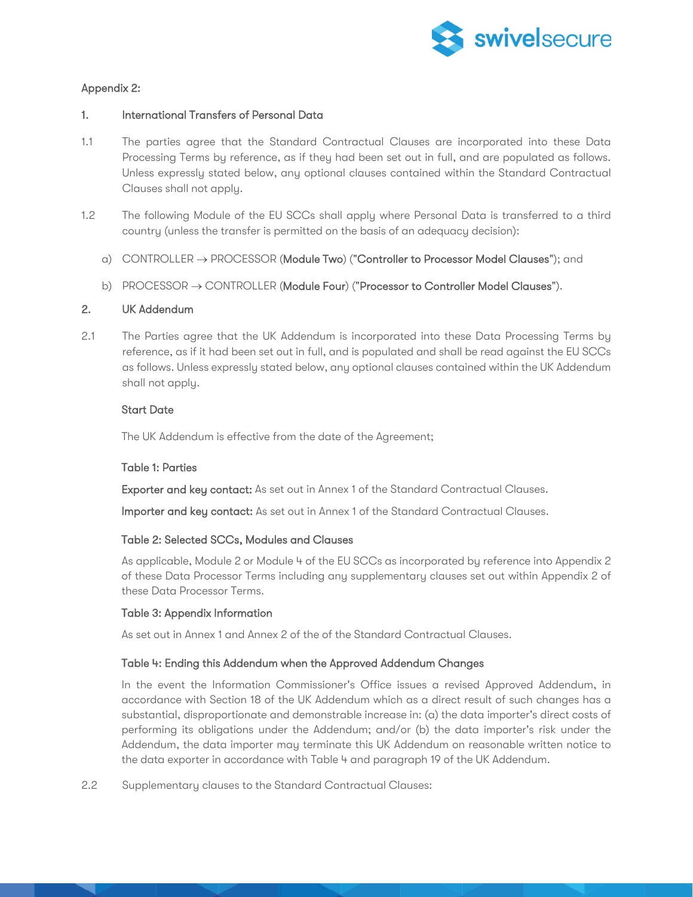

# Appendix 2:

# 1. International Transfers of Personal Data

- 1.1 The parties agree that the Standard Contractual Clauses are incorporated into these Data Processing Terms by reference, as if they had been set out in full, and are populated as follows. Unless expressly stated below, any optional clauses contained within the Standard Contractual Clauses shall not apply.
- 1.2 The following Module of the EU SCCs shall apply where Personal Data is transferred to a third country (unless the transfer is permitted on the basis of an adequacy decision):
	- a) CONTROLLER → PROCESSOR (Module Two) ("Controller to Processor Model Clauses"); and
	- b) PROCESSOR → CONTROLLER (Module Four) ("Processor to Controller Model Clauses").

# 2. UK Addendum

2.1 The Parties agree that the UK Addendum is incorporated into these Data Processing Terms by reference, as if it had been set out in full, and is populated and shall be read against the EU SCCs as follows. Unless expressly stated below, any optional clauses contained within the UK Addendum shall not apply.

# Start Date

The UK Addendum is effective from the date of the Agreement;

# Table 1: Parties

Exporter and key contact: As set out in Annex 1 of the Standard Contractual Clauses.

Importer and key contact: As set out in Annex 1 of the Standard Contractual Clauses.

# Table 2: Selected SCCs, Modules and Clauses

As applicable, Module 2 or Module 4 of the EU SCCs as incorporated by reference into Appendix 2 of these Data Processor Terms including any supplementary clauses set out within Appendix 2 of these Data Processor Terms.

#### Table 3: Appendix Information

As set out in Annex 1 and Annex 2 of the of the Standard Contractual Clauses.

#### Table 4: Ending this Addendum when the Approved Addendum Changes

In the event the Information Commissioner's Office issues a revised Approved Addendum, in accordance with Section 18 of the UK Addendum which as a direct result of such changes has a substantial, disproportionate and demonstrable increase in: (a) the data importer's direct costs of performing its obligations under the Addendum; and/or (b) the data importer's risk under the Addendum, the data importer may terminate this UK Addendum on reasonable written notice to the data exporter in accordance with Table 4 and paragraph 19 of the UK Addendum.

2.2 Supplementary clauses to the Standard Contractual Clauses: